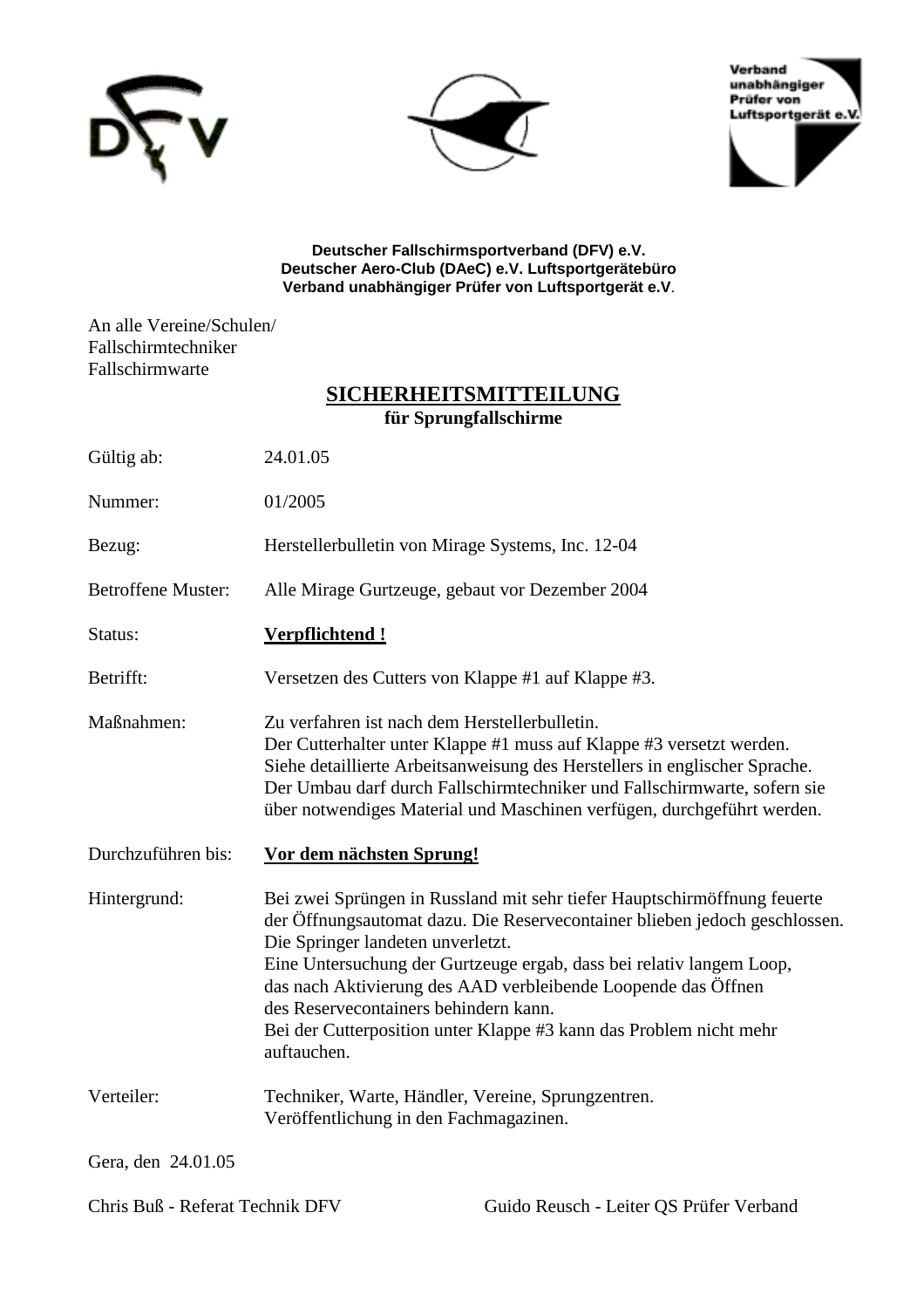





**Deutscher Fallschirmsportverband (DFV) e.V. Deutscher Aero-Club (DAeC) e.V. Luftsportgerätebüro Verband unabhängiger Prüfer von Luftsportgerät e.V**.

An alle Vereine/Schulen/ Fallschirmtechniker Fallschirmwarte

# **SICHERHEITSMITTEILUNG für Sprungfallschirme**

| Gültig ab:                | 24.01.05                                                                                                                                                                                                                                                                                                                                                                                                                                                           |
|---------------------------|--------------------------------------------------------------------------------------------------------------------------------------------------------------------------------------------------------------------------------------------------------------------------------------------------------------------------------------------------------------------------------------------------------------------------------------------------------------------|
| Nummer:                   | 01/2005                                                                                                                                                                                                                                                                                                                                                                                                                                                            |
| Bezug:                    | Herstellerbulletin von Mirage Systems, Inc. 12-04                                                                                                                                                                                                                                                                                                                                                                                                                  |
| <b>Betroffene Muster:</b> | Alle Mirage Gurtzeuge, gebaut vor Dezember 2004                                                                                                                                                                                                                                                                                                                                                                                                                    |
| Status:                   | <u>Verpflichtend!</u>                                                                                                                                                                                                                                                                                                                                                                                                                                              |
| Betrifft:                 | Versetzen des Cutters von Klappe #1 auf Klappe #3.                                                                                                                                                                                                                                                                                                                                                                                                                 |
| Maßnahmen:                | Zu verfahren ist nach dem Herstellerbulletin.<br>Der Cutterhalter unter Klappe #1 muss auf Klappe #3 versetzt werden.<br>Siehe detaillierte Arbeitsanweisung des Herstellers in englischer Sprache.<br>Der Umbau darf durch Fallschirmtechniker und Fallschirmwarte, sofern sie<br>über notwendiges Material und Maschinen verfügen, durchgeführt werden.                                                                                                          |
| Durchzuführen bis:        | Vor dem nächsten Sprung!                                                                                                                                                                                                                                                                                                                                                                                                                                           |
| Hintergrund:              | Bei zwei Sprüngen in Russland mit sehr tiefer Hauptschirmöffnung feuerte<br>der Öffnungsautomat dazu. Die Reservecontainer blieben jedoch geschlossen.<br>Die Springer landeten unverletzt.<br>Eine Untersuchung der Gurtzeuge ergab, dass bei relativ langem Loop,<br>das nach Aktivierung des AAD verbleibende Loopende das Öffnen<br>des Reservecontainers behindern kann.<br>Bei der Cutterposition unter Klappe #3 kann das Problem nicht mehr<br>auftauchen. |
| Verteiler:                | Techniker, Warte, Händler, Vereine, Sprungzentren.<br>Veröffentlichung in den Fachmagazinen.                                                                                                                                                                                                                                                                                                                                                                       |
|                           |                                                                                                                                                                                                                                                                                                                                                                                                                                                                    |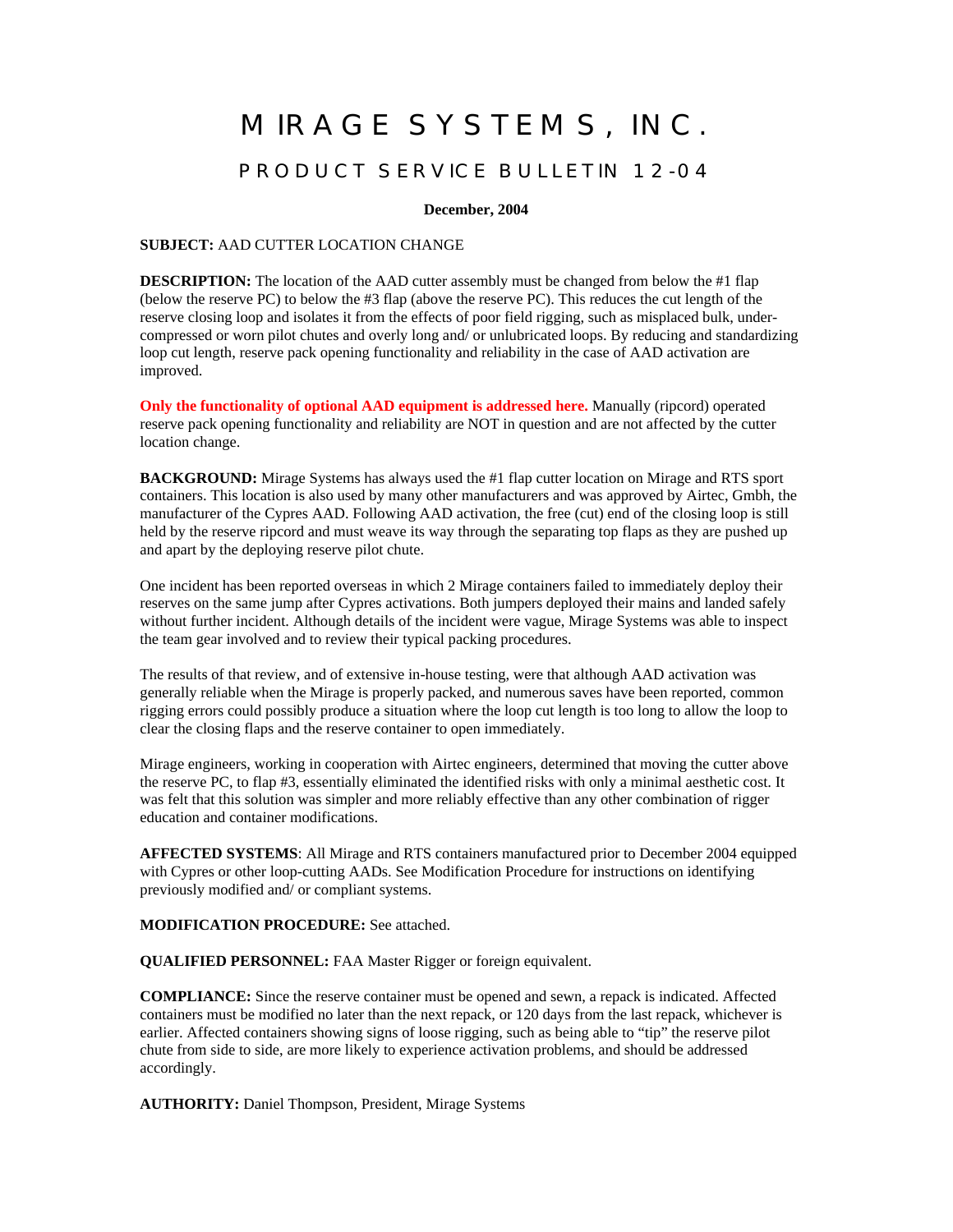# MIRAGE SYSTEMS, INC.

#### PRODUCT SERVICE BULLETIN 12-04

**December, 2004**

#### **SUBJECT:** AAD CUTTER LOCATION CHANGE

**DESCRIPTION:** The location of the AAD cutter assembly must be changed from below the #1 flap (below the reserve PC) to below the #3 flap (above the reserve PC). This reduces the cut length of the reserve closing loop and isolates it from the effects of poor field rigging, such as misplaced bulk, undercompressed or worn pilot chutes and overly long and/ or unlubricated loops. By reducing and standardizing loop cut length, reserve pack opening functionality and reliability in the case of AAD activation are improved.

**Only the functionality of optional AAD equipment is addressed here.** Manually (ripcord) operated reserve pack opening functionality and reliability are NOT in question and are not affected by the cutter location change.

**BACKGROUND:** Mirage Systems has always used the #1 flap cutter location on Mirage and RTS sport containers. This location is also used by many other manufacturers and was approved by Airtec, Gmbh, the manufacturer of the Cypres AAD. Following AAD activation, the free (cut) end of the closing loop is still held by the reserve ripcord and must weave its way through the separating top flaps as they are pushed up and apart by the deploying reserve pilot chute.

One incident has been reported overseas in which 2 Mirage containers failed to immediately deploy their reserves on the same jump after Cypres activations. Both jumpers deployed their mains and landed safely without further incident. Although details of the incident were vague, Mirage Systems was able to inspect the team gear involved and to review their typical packing procedures.

The results of that review, and of extensive in-house testing, were that although AAD activation was generally reliable when the Mirage is properly packed, and numerous saves have been reported, common rigging errors could possibly produce a situation where the loop cut length is too long to allow the loop to clear the closing flaps and the reserve container to open immediately.

Mirage engineers, working in cooperation with Airtec engineers, determined that moving the cutter above the reserve PC, to flap #3, essentially eliminated the identified risks with only a minimal aesthetic cost. It was felt that this solution was simpler and more reliably effective than any other combination of rigger education and container modifications.

**AFFECTED SYSTEMS**: All Mirage and RTS containers manufactured prior to December 2004 equipped with Cypres or other loop-cutting AADs. See Modification Procedure for instructions on identifying previously modified and/ or compliant systems.

**MODIFICATION PROCEDURE:** See attached.

**QUALIFIED PERSONNEL:** FAA Master Rigger or foreign equivalent.

**COMPLIANCE:** Since the reserve container must be opened and sewn, a repack is indicated. Affected containers must be modified no later than the next repack, or 120 days from the last repack, whichever is earlier. Affected containers showing signs of loose rigging, such as being able to "tip" the reserve pilot chute from side to side, are more likely to experience activation problems, and should be addressed accordingly.

**AUTHORITY:** Daniel Thompson, President, Mirage Systems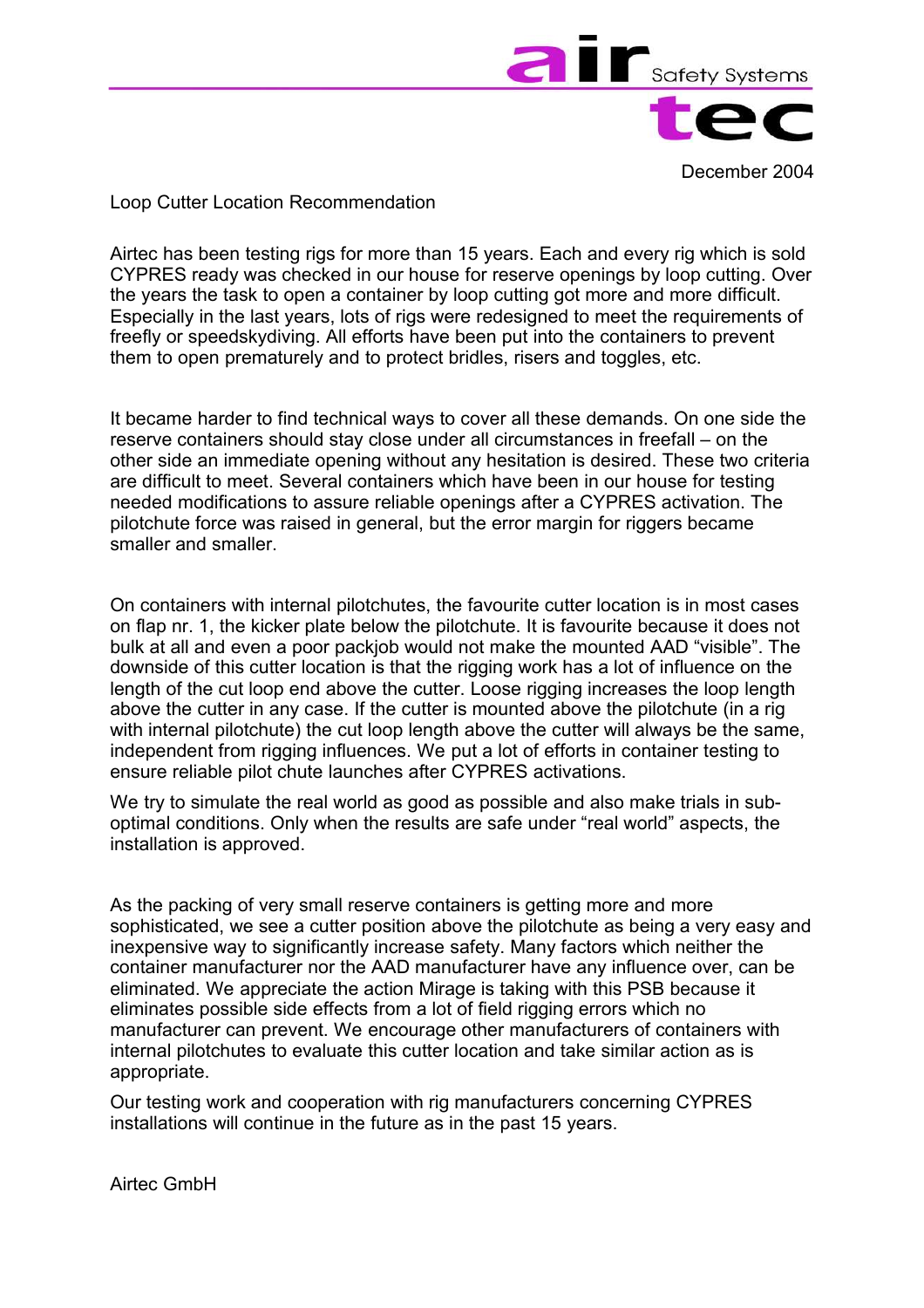

December 2004

Loop Cutter Location Recommendation

Airtec has been testing rigs for more than 15 years. Each and every rig which is sold CYPRES ready was checked in our house for reserve openings by loop cutting. Over the years the task to open a container by loop cutting got more and more difficult. Especially in the last years, lots of rigs were redesigned to meet the requirements of freefly or speedskydiving. All efforts have been put into the containers to prevent them to open prematurely and to protect bridles, risers and toggles, etc.

It became harder to find technical ways to cover all these demands. On one side the reserve containers should stay close under all circumstances in freefall – on the other side an immediate opening without any hesitation is desired. These two criteria are difficult to meet. Several containers which have been in our house for testing needed modifications to assure reliable openings after a CYPRES activation. The pilotchute force was raised in general, but the error margin for riggers became smaller and smaller.

On containers with internal pilotchutes, the favourite cutter location is in most cases on flap nr. 1, the kicker plate below the pilotchute. It is favourite because it does not bulk at all and even a poor packjob would not make the mounted AAD "visible". The downside of this cutter location is that the rigging work has a lot of influence on the length of the cut loop end above the cutter. Loose rigging increases the loop length above the cutter in any case. If the cutter is mounted above the pilotchute (in a rig with internal pilotchute) the cut loop length above the cutter will always be the same, independent from rigging influences. We put a lot of efforts in container testing to ensure reliable pilot chute launches after CYPRES activations.

We try to simulate the real world as good as possible and also make trials in suboptimal conditions. Only when the results are safe under "real world" aspects, the installation is approved.

As the packing of very small reserve containers is getting more and more sophisticated, we see a cutter position above the pilotchute as being a very easy and inexpensive way to significantly increase safety. Many factors which neither the container manufacturer nor the AAD manufacturer have any influence over, can be eliminated. We appreciate the action Mirage is taking with this PSB because it eliminates possible side effects from a lot of field rigging errors which no manufacturer can prevent. We encourage other manufacturers of containers with internal pilotchutes to evaluate this cutter location and take similar action as is appropriate.

Our testing work and cooperation with rig manufacturers concerning CYPRES installations will continue in the future as in the past 15 years.

Airtec GmbH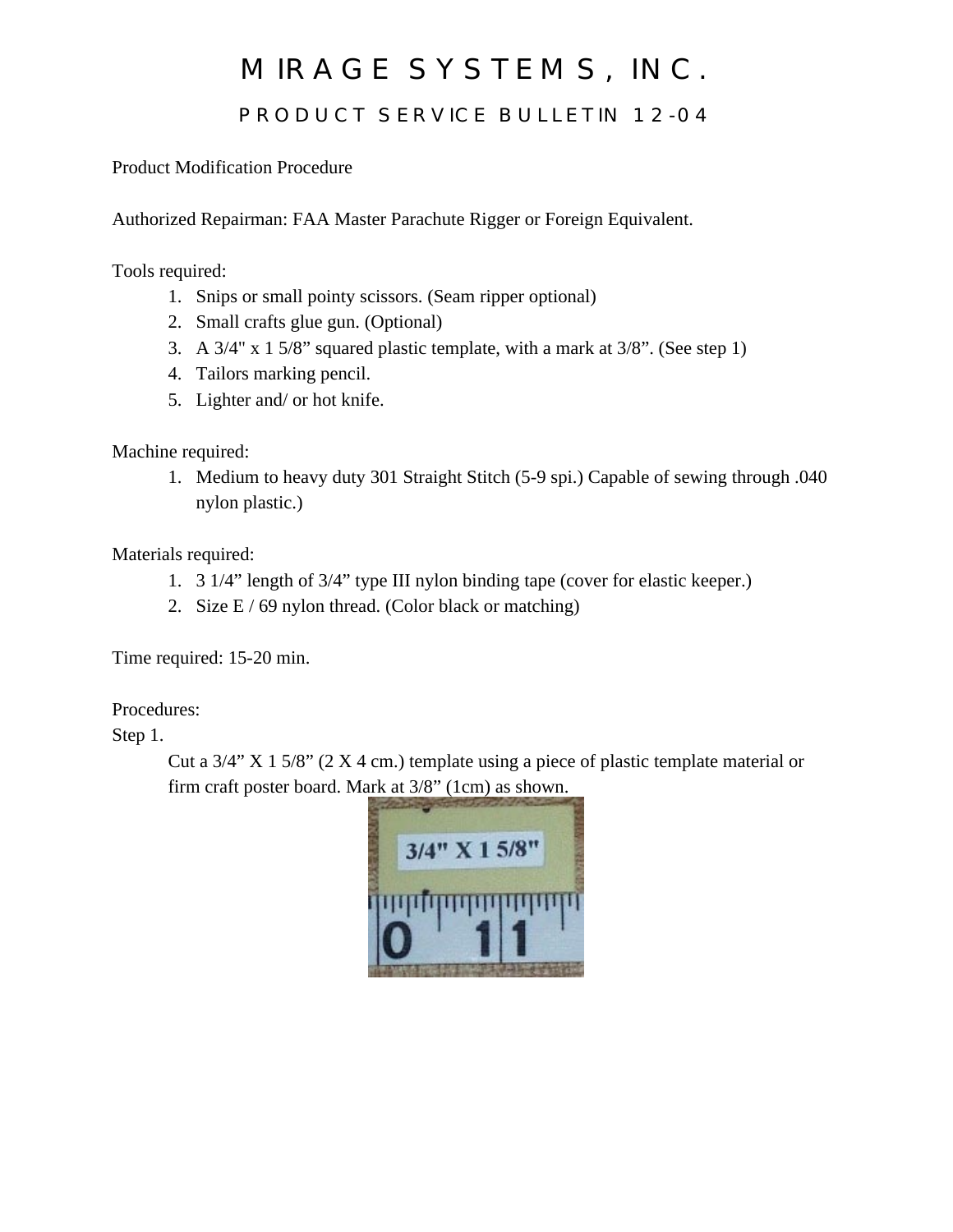# MIRAGE SYSTEMS, INC.

# PRODUCT SERVICE BULLETIN 12-04

Product Modification Procedure

Authorized Repairman: FAA Master Parachute Rigger or Foreign Equivalent.

Tools required:

- 1. Snips or small pointy scissors. (Seam ripper optional)
- 2. Small crafts glue gun. (Optional)
- 3. A 3/4" x 1 5/8" squared plastic template, with a mark at 3/8". (See step 1)
- 4. Tailors marking pencil.
- 5. Lighter and/ or hot knife.

Machine required:

1. Medium to heavy duty 301 Straight Stitch (5-9 spi.) Capable of sewing through .040 nylon plastic.)

Materials required:

- 1. 3 1/4" length of 3/4" type III nylon binding tape (cover for elastic keeper.)
- 2. Size  $E / 69$  nylon thread. (Color black or matching)

Time required: 15-20 min.

Procedures:

Step 1.

Cut a  $3/4$ " X 1 5/8" (2 X 4 cm.) template using a piece of plastic template material or firm craft poster board. Mark at 3/8" (1cm) as shown.

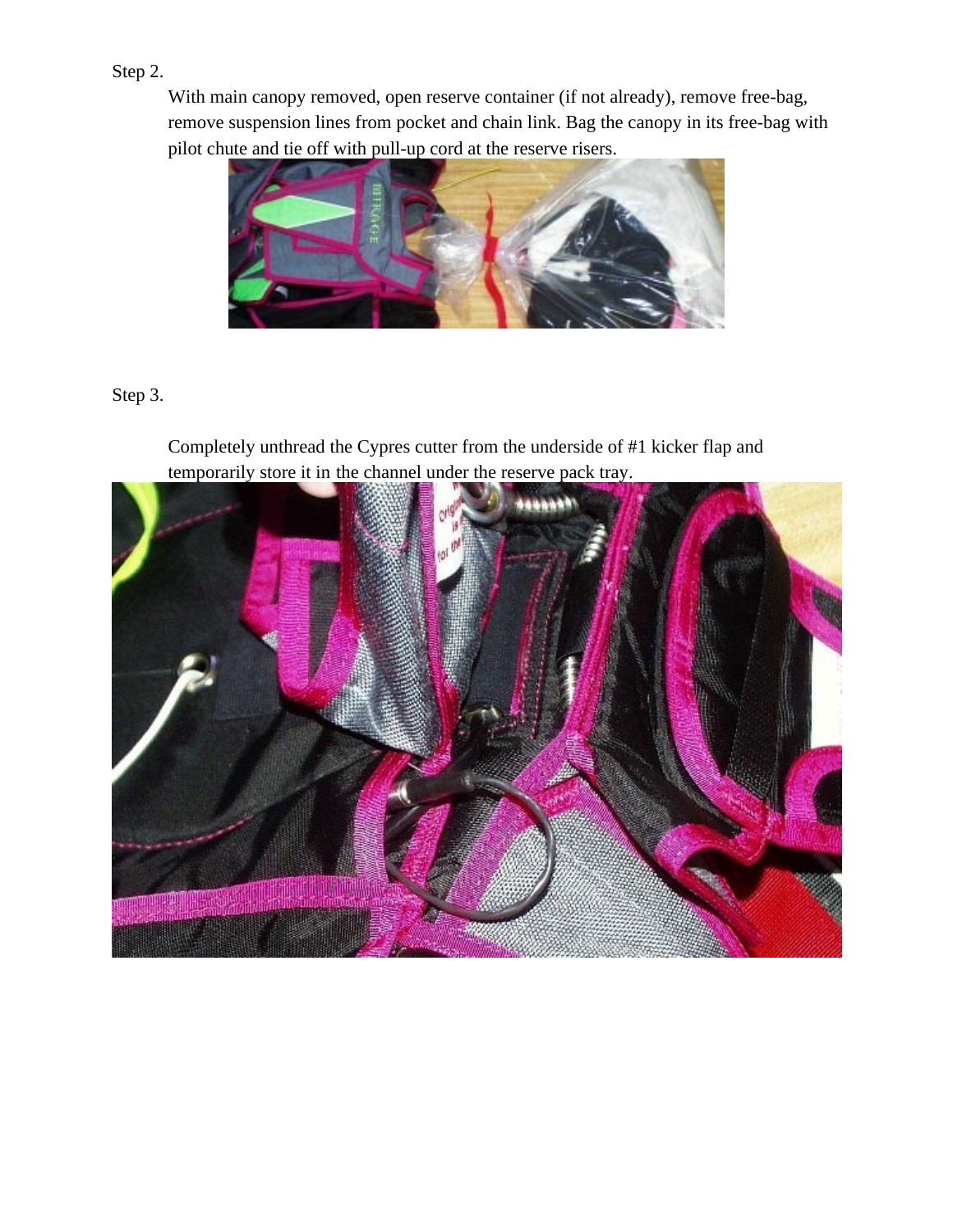### Step 2.

With main canopy removed, open reserve container (if not already), remove free-bag, remove suspension lines from pocket and chain link. Bag the canopy in its free-bag with pilot chute and tie off with pull-up cord at the reserve risers.



### Step 3.

Completely unthread the Cypres cutter from the underside of #1 kicker flap and temporarily store it in the channel under the reserve pack tray.

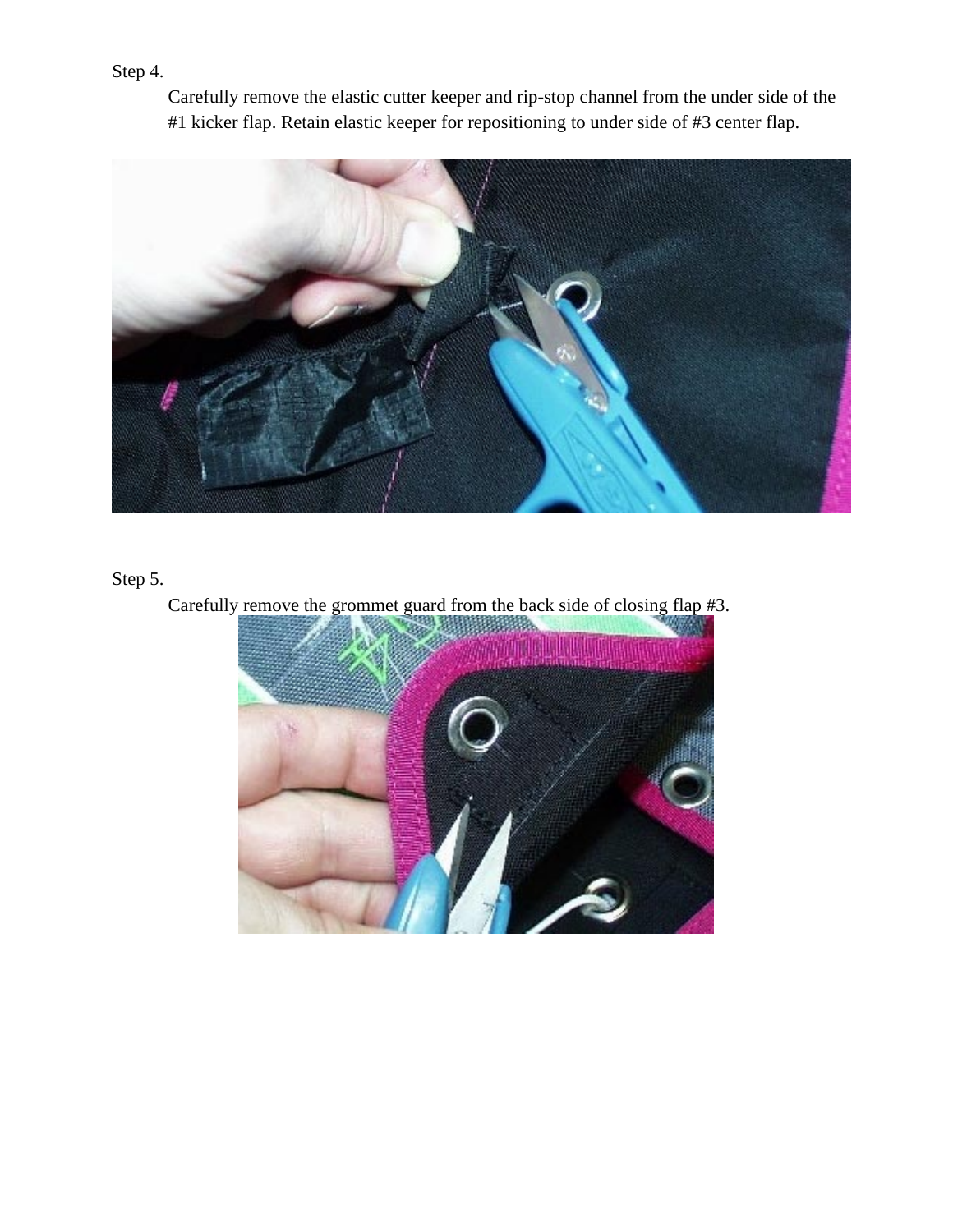Step 4.

Carefully remove the elastic cutter keeper and rip-stop channel from the under side of the #1 kicker flap. Retain elastic keeper for repositioning to under side of #3 center flap.



Step 5.

Carefully remove the grommet guard from the back side of closing flap #3.

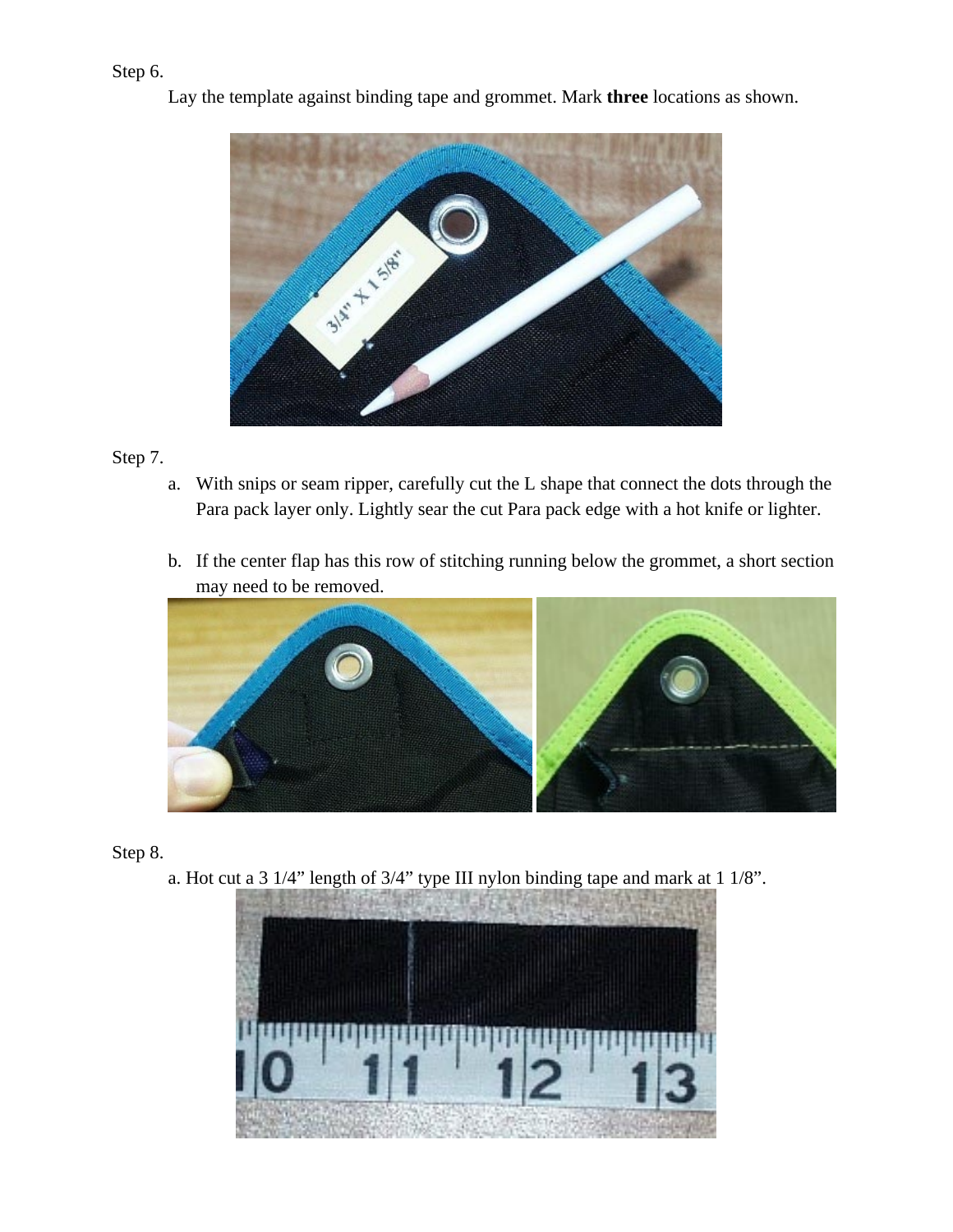### Step 6.



Lay the template against binding tape and grommet. Mark **three** locations as shown.

### Step 7.

- a. With snips or seam ripper, carefully cut the L shape that connect the dots through the Para pack layer only. Lightly sear the cut Para pack edge with a hot knife or lighter.
- b. If the center flap has this row of stitching running below the grommet, a short section may need to be removed.



Step 8.

a. Hot cut a 3 1/4" length of 3/4" type III nylon binding tape and mark at 1 1/8".

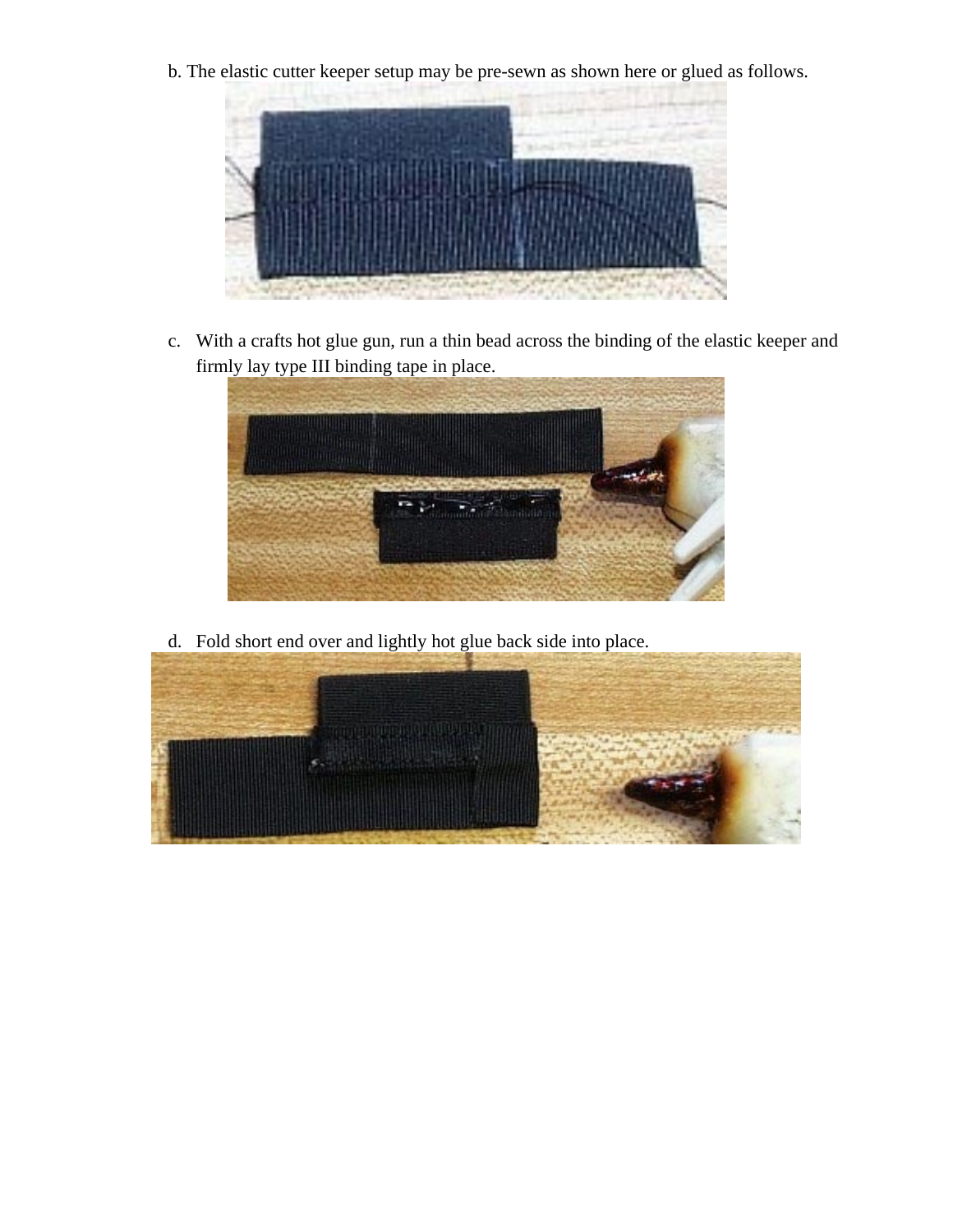b. The elastic cutter keeper setup may be pre-sewn as shown here or glued as follows.



c. With a crafts hot glue gun, run a thin bead across the binding of the elastic keeper and firmly lay type III binding tape in place.



d. Fold short end over and lightly hot glue back side into place.

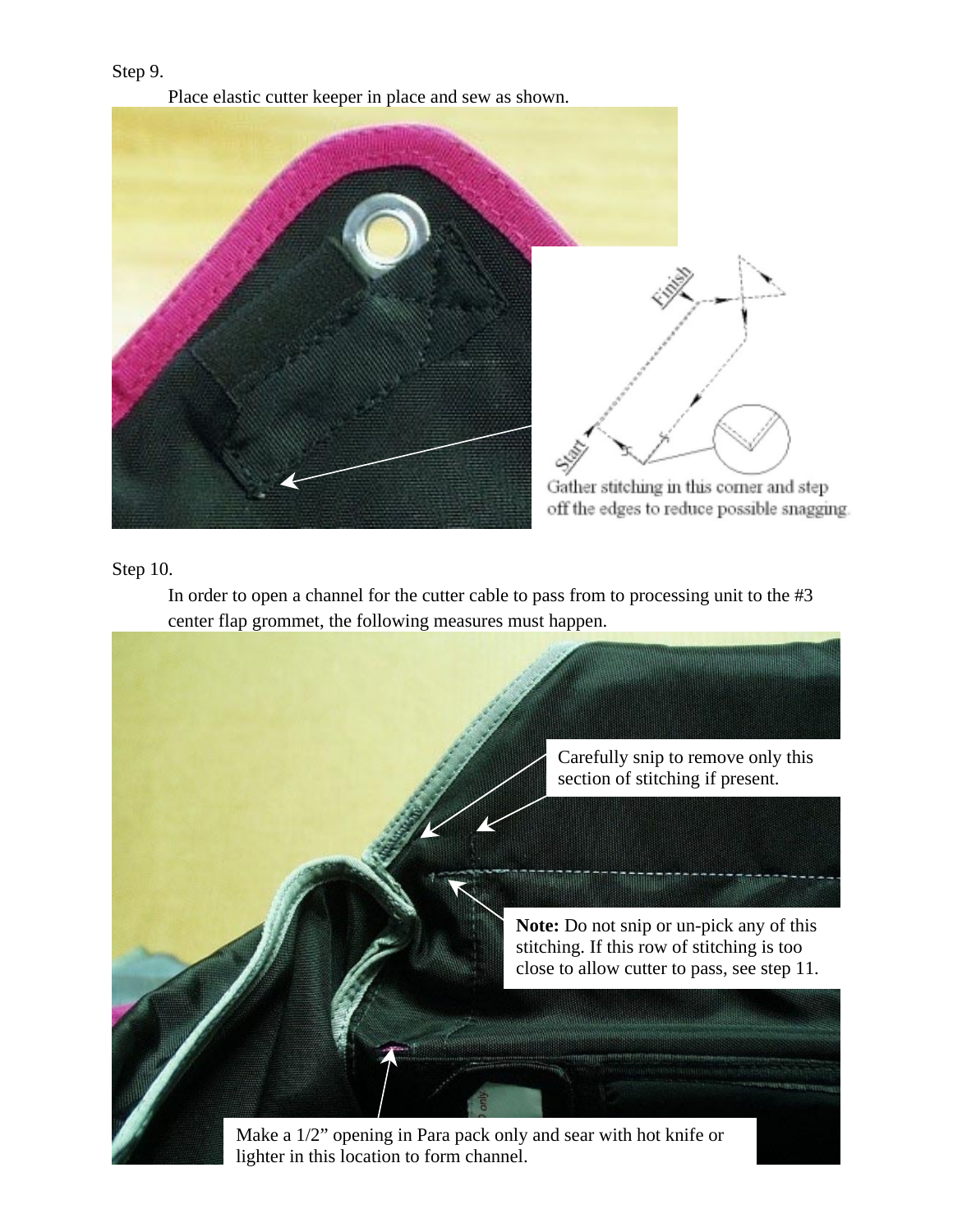#### Step 9.

Place elastic cutter keeper in place and sew as shown.



#### Step 10.

In order to open a channel for the cutter cable to pass from to processing unit to the #3 center flap grommet, the following measures must happen.



lighter in this location to form channel.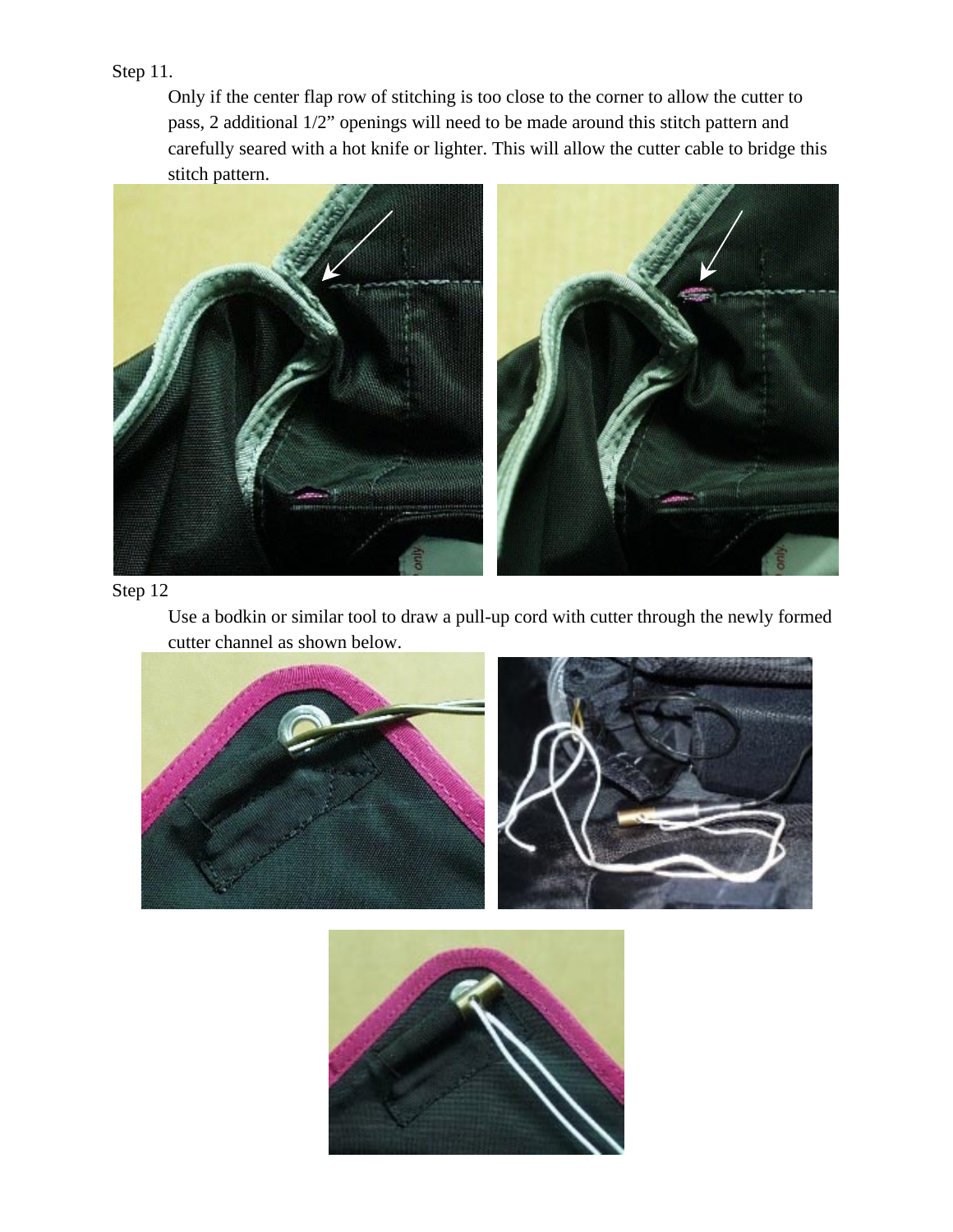# Step 11.

Only if the center flap row of stitching is too close to the corner to allow the cutter to pass, 2 additional 1/2" openings will need to be made around this stitch pattern and carefully seared with a hot knife or lighter. This will allow the cutter cable to bridge this stitch pattern.



#### Step 12

Use a bodkin or similar tool to draw a pull-up cord with cutter through the newly formed cutter channel as shown below.